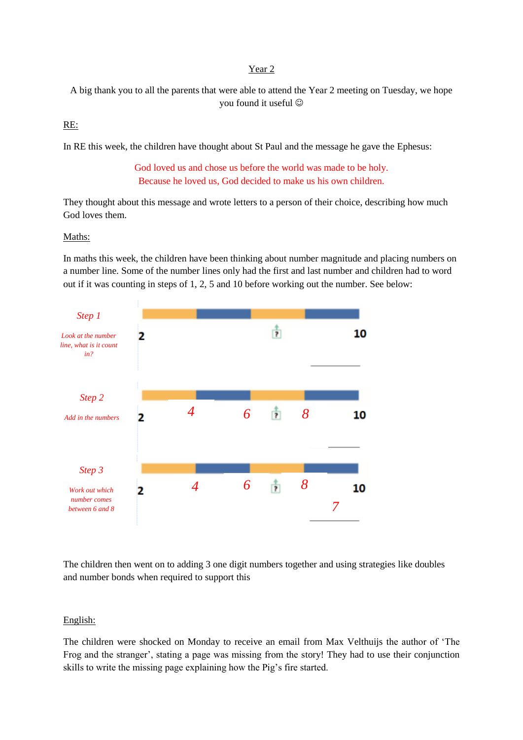### Year 2

A big thank you to all the parents that were able to attend the Year 2 meeting on Tuesday, we hope you found it useful

## RE:

In RE this week, the children have thought about St Paul and the message he gave the Ephesus:

God loved us and chose us before the world was made to be holy. Because he loved us, God decided to make us his own children.

They thought about this message and wrote letters to a person of their choice, describing how much God loves them.

#### Maths:

In maths this week, the children have been thinking about number magnitude and placing numbers on a number line. Some of the number lines only had the first and last number and children had to word out if it was counting in steps of 1, 2, 5 and 10 before working out the number. See below:



The children then went on to adding 3 one digit numbers together and using strategies like doubles and number bonds when required to support this

#### English:

The children were shocked on Monday to receive an email from Max Velthuijs the author of 'The Frog and the stranger', stating a page was missing from the story! They had to use their conjunction skills to write the missing page explaining how the Pig's fire started.